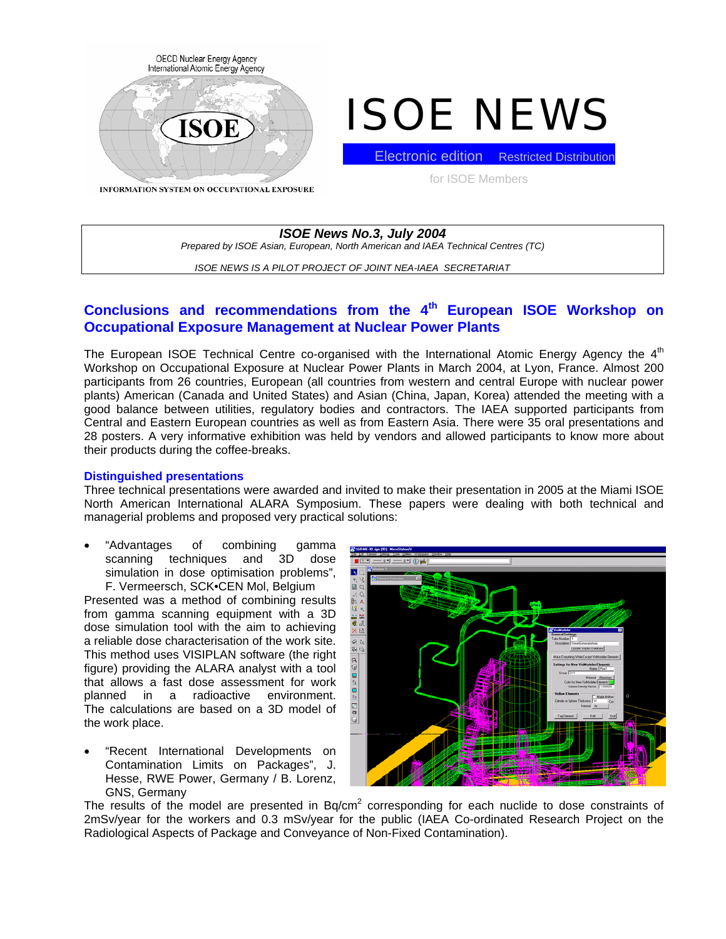

# ISOE NEWS

**INFORMATION SYSTEM ON OCCUPATIONAL EXPOSURE** 

**Electronic edition** Restricted Distribution for ISOE Members

*ISOE News No.3, July 2004 Prepared by ISOE Asian, European, North American and IAEA Technical Centres (TC)* 

*ISOE NEWS IS A PILOT PROJECT OF JOINT NEA-IAEA SECRETARIAT* 

# **Conclusions and recommendations from the 4th European ISOE Workshop on Occupational Exposure Management at Nuclear Power Plants**

The European ISOE Technical Centre co-organised with the International Atomic Energy Agency the  $4<sup>th</sup>$ Workshop on Occupational Exposure at Nuclear Power Plants in March 2004, at Lyon, France. Almost 200 participants from 26 countries, European (all countries from western and central Europe with nuclear power plants) American (Canada and United States) and Asian (China, Japan, Korea) attended the meeting with a good balance between utilities, regulatory bodies and contractors. The IAEA supported participants from Central and Eastern European countries as well as from Eastern Asia. There were 35 oral presentations and 28 posters. A very informative exhibition was held by vendors and allowed participants to know more about their products during the coffee-breaks.

#### **Distinguished presentations**

Three technical presentations were awarded and invited to make their presentation in 2005 at the Miami ISOE North American International ALARA Symposium. These papers were dealing with both technical and managerial problems and proposed very practical solutions:

• "Advantages of combining gamma scanning techniques and 3D dose simulation in dose optimisation problems", F. Vermeersch, SCK•CEN Mol, Belgium

Presented was a method of combining results from gamma scanning equipment with a 3D dose simulation tool with the aim to achieving a reliable dose characterisation of the work site. This method uses VISIPLAN software (the right figure) providing the ALARA analyst with a tool that allows a fast dose assessment for work planned in a radioactive environment. The calculations are based on a 3D model of the work place.

• "Recent International Developments on Contamination Limits on Packages", J. Hesse, RWE Power, Germany / B. Lorenz, GNS, Germany



The results of the model are presented in Bq/cm<sup>2</sup> corresponding for each nuclide to dose constraints of 2mSv/year for the workers and 0.3 mSv/year for the public (IAEA Co-ordinated Research Project on the Radiological Aspects of Package and Conveyance of Non-Fixed Contamination).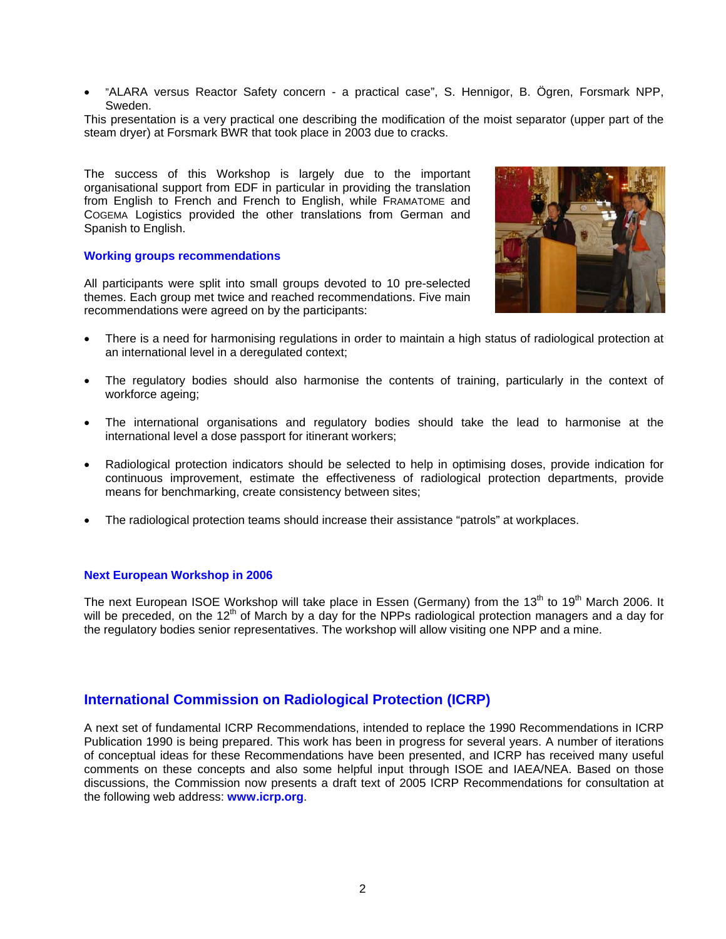• "ALARA versus Reactor Safety concern - a practical case", S. Hennigor, B. Ögren, Forsmark NPP, Sweden.

This presentation is a very practical one describing the modification of the moist separator (upper part of the steam dryer) at Forsmark BWR that took place in 2003 due to cracks.

The success of this Workshop is largely due to the important organisational support from EDF in particular in providing the translation from English to French and French to English, while FRAMATOME and COGEMA Logistics provided the other translations from German and Spanish to English.

#### **Working groups recommendations**

All participants were split into small groups devoted to 10 pre-selected themes. Each group met twice and reached recommendations. Five main recommendations were agreed on by the participants:



- There is a need for harmonising regulations in order to maintain a high status of radiological protection at an international level in a deregulated context;
- The regulatory bodies should also harmonise the contents of training, particularly in the context of workforce ageing;
- The international organisations and regulatory bodies should take the lead to harmonise at the international level a dose passport for itinerant workers;
- Radiological protection indicators should be selected to help in optimising doses, provide indication for continuous improvement, estimate the effectiveness of radiological protection departments, provide means for benchmarking, create consistency between sites;
- The radiological protection teams should increase their assistance "patrols" at workplaces.

#### **Next European Workshop in 2006**

The next European ISOE Workshop will take place in Essen (Germany) from the 13<sup>th</sup> to 19<sup>th</sup> March 2006. It will be preceded, on the  $12<sup>th</sup>$  of March by a day for the NPPs radiological protection managers and a day for the regulatory bodies senior representatives. The workshop will allow visiting one NPP and a mine.

# **International Commission on Radiological Protection (ICRP)**

A next set of fundamental ICRP Recommendations, intended to replace the 1990 Recommendations in ICRP Publication 1990 is being prepared. This work has been in progress for several years. A number of iterations of conceptual ideas for these Recommendations have been presented, and ICRP has received many useful comments on these concepts and also some helpful input through ISOE and IAEA/NEA. Based on those discussions, the Commission now presents a draft text of 2005 ICRP Recommendations for consultation at the following web address: **www.icrp.org**.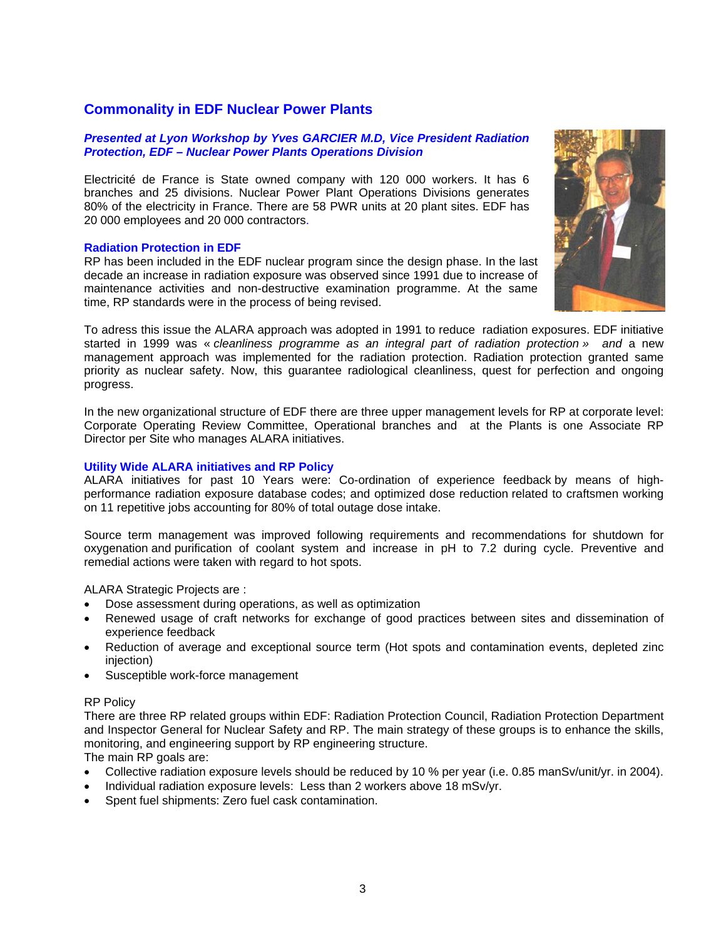# **Commonality in EDF Nuclear Power Plants**

#### *Presented at Lyon Workshop by Yves GARCIER M.D, Vice President Radiation Protection, EDF – Nuclear Power Plants Operations Division*

Electricité de France is State owned company with 120 000 workers. It has 6 branches and 25 divisions. Nuclear Power Plant Operations Divisions generates 80% of the electricity in France. There are 58 PWR units at 20 plant sites. EDF has 20 000 employees and 20 000 contractors.

#### **Radiation Protection in EDF**

RP has been included in the EDF nuclear program since the design phase. In the last decade an increase in radiation exposure was observed since 1991 due to increase of maintenance activities and non-destructive examination programme. At the same time, RP standards were in the process of being revised.



To adress this issue the ALARA approach was adopted in 1991 to reduce radiation exposures. EDF initiative started in 1999 was « *cleanliness programme as an integral part of radiation protection » and* a new management approach was implemented for the radiation protection. Radiation protection granted same priority as nuclear safety. Now, this guarantee radiological cleanliness, quest for perfection and ongoing progress.

In the new organizational structure of EDF there are three upper management levels for RP at corporate level: Corporate Operating Review Committee, Operational branches and at the Plants is one Associate RP Director per Site who manages ALARA initiatives.

#### **Utility Wide ALARA initiatives and RP Policy**

ALARA initiatives for past 10 Years were: Co-ordination of experience feedback by means of highperformance radiation exposure database codes; and optimized dose reduction related to craftsmen working on 11 repetitive jobs accounting for 80% of total outage dose intake.

Source term management was improved following requirements and recommendations for shutdown for oxygenation and purification of coolant system and increase in pH to 7.2 during cycle. Preventive and remedial actions were taken with regard to hot spots.

ALARA Strategic Projects are :

- Dose assessment during operations, as well as optimization
- Renewed usage of craft networks for exchange of good practices between sites and dissemination of experience feedback
- Reduction of average and exceptional source term (Hot spots and contamination events, depleted zinc injection)
- Susceptible work-force management

#### RP Policy

There are three RP related groups within EDF: Radiation Protection Council, Radiation Protection Department and Inspector General for Nuclear Safety and RP. The main strategy of these groups is to enhance the skills, monitoring, and engineering support by RP engineering structure.

The main RP goals are:

- Collective radiation exposure levels should be reduced by 10 % per year (i.e. 0.85 manSv/unit/yr. in 2004).
- Individual radiation exposure levels: Less than 2 workers above 18 mSv/yr.
- Spent fuel shipments: Zero fuel cask contamination.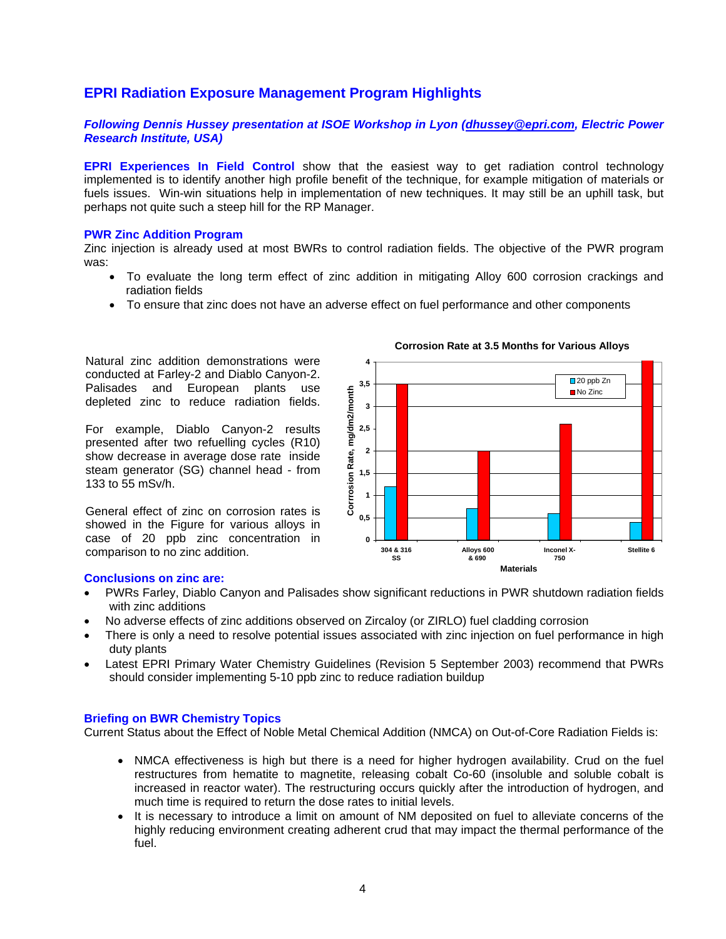# **EPRI Radiation Exposure Management Program Highlights**

#### *Following Dennis Hussey presentation at ISOE Workshop in Lyon ([dhussey@epri.com,](mailto:dhussey@epri.com) Electric Power Research Institute, USA)*

**EPRI Experiences In Field Control** show that the easiest way to get radiation control technology implemented is to identify another high profile benefit of the technique, for example mitigation of materials or fuels issues. Win-win situations help in implementation of new techniques. It may still be an uphill task, but perhaps not quite such a steep hill for the RP Manager.

#### **PWR Zinc Addition Program**

Zinc injection is already used at most BWRs to control radiation fields. The objective of the PWR program was:

- To evaluate the long term effect of zinc addition in mitigating Alloy 600 corrosion crackings and radiation fields
- To ensure that zinc does not have an adverse effect on fuel performance and other components

Natural zinc addition demonstrations were conducted at Farley-2 and Diablo Canyon-2. Palisades and European plants use depleted zinc to reduce radiation fields.

For example, Diablo Canyon-2 results presented after two refuelling cycles (R10) show decrease in average dose rate inside steam generator (SG) channel head - from 133 to 55 mSv/h.

General effect of zinc on corrosion rates is showed in the Figure for various alloys in case of 20 ppb zinc concentration in comparison to no zinc addition.

# **Corrosion Rate at 3.5 Months for Various Alloys**



#### **Conclusions on zinc are:**

- PWRs Farley, Diablo Canyon and Palisades show significant reductions in PWR shutdown radiation fields with zinc additions
- No adverse effects of zinc additions observed on Zircaloy (or ZIRLO) fuel cladding corrosion
- There is only a need to resolve potential issues associated with zinc injection on fuel performance in high duty plants
- Latest EPRI Primary Water Chemistry Guidelines (Revision 5 September 2003) recommend that PWRs should consider implementing 5-10 ppb zinc to reduce radiation buildup

#### **Briefing on BWR Chemistry Topics**

Current Status about the Effect of Noble Metal Chemical Addition (NMCA) on Out-of-Core Radiation Fields is:

- NMCA effectiveness is high but there is a need for higher hydrogen availability. Crud on the fuel restructures from hematite to magnetite, releasing cobalt Co-60 (insoluble and soluble cobalt is increased in reactor water). The restructuring occurs quickly after the introduction of hydrogen, and much time is required to return the dose rates to initial levels.
- It is necessary to introduce a limit on amount of NM deposited on fuel to alleviate concerns of the highly reducing environment creating adherent crud that may impact the thermal performance of the fuel.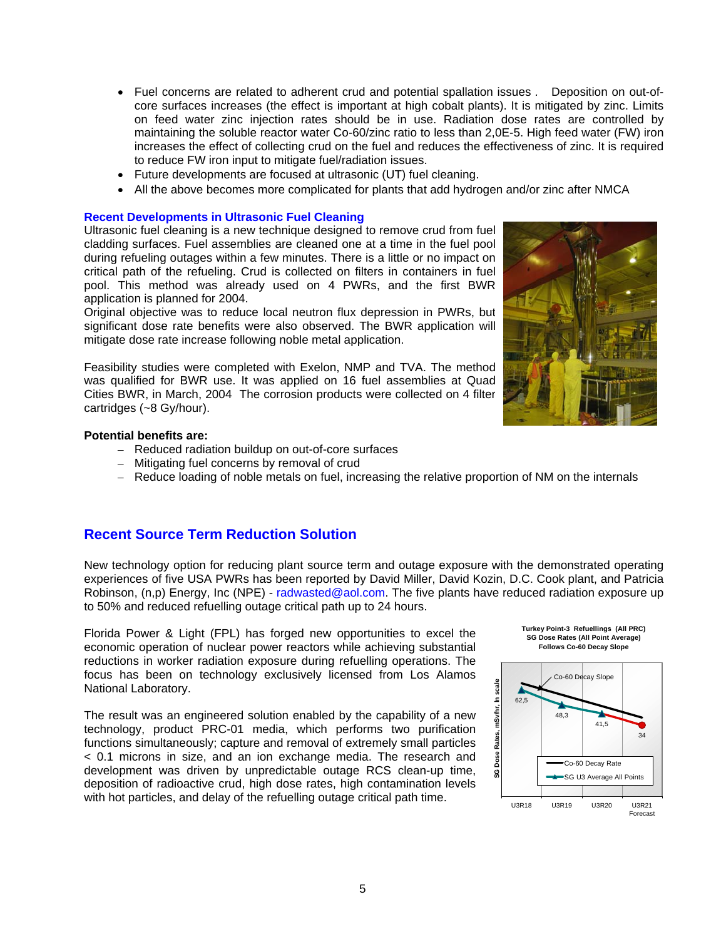- Fuel concerns are related to adherent crud and potential spallation issues *.* Deposition on out-ofcore surfaces increases (the effect is important at high cobalt plants). It is mitigated by zinc. Limits on feed water zinc injection rates should be in use. Radiation dose rates are controlled by maintaining the soluble reactor water Co-60/zinc ratio to less than 2,0E-5. High feed water (FW) iron increases the effect of collecting crud on the fuel and reduces the effectiveness of zinc. It is required to reduce FW iron input to mitigate fuel/radiation issues.
- Future developments are focused at ultrasonic (UT) fuel cleaning.
- All the above becomes more complicated for plants that add hydrogen and/or zinc after NMCA

#### **Recent Developments in Ultrasonic Fuel Cleaning**

Ultrasonic fuel cleaning is a new technique designed to remove crud from fuel cladding surfaces. Fuel assemblies are cleaned one at a time in the fuel pool during refueling outages within a few minutes. There is a little or no impact on critical path of the refueling. Crud is collected on filters in containers in fuel pool. This method was already used on 4 PWRs, and the first BWR application is planned for 2004.

Original objective was to reduce local neutron flux depression in PWRs, but significant dose rate benefits were also observed. The BWR application will mitigate dose rate increase following noble metal application.

Feasibility studies were completed with Exelon, NMP and TVA. The method was qualified for BWR use. It was applied on 16 fuel assemblies at Quad Cities BWR, in March, 2004 The corrosion products were collected on 4 filter cartridges (~8 Gy/hour).



- Reduced radiation buildup on out-of-core surfaces
- Mitigating fuel concerns by removal of crud
- Reduce loading of noble metals on fuel, increasing the relative proportion of NM on the internals

### **Recent Source Term Reduction Solution**

New technology option for reducing plant source term and outage exposure with the demonstrated operating experiences of five USA PWRs has been reported by David Miller, David Kozin, D.C. Cook plant, and Patricia Robinson, (n,p) Energy, Inc (NPE) - radwasted@aol.com. The five plants have reduced radiation exposure up to 50% and reduced refuelling outage critical path up to 24 hours.

Florida Power & Light (FPL) has forged new opportunities to excel the economic operation of nuclear power reactors while achieving substantial reductions in worker radiation exposure during refuelling operations. The focus has been on technology exclusively licensed from Los Alamos National Laboratory.

The result was an engineered solution enabled by the capability of a new technology, product PRC-01 media, which performs two purification functions simultaneously; capture and removal of extremely small particles < 0.1 microns in size, and an ion exchange media. The research and development was driven by unpredictable outage RCS clean-up time, deposition of radioactive crud, high dose rates, high contamination levels with hot particles, and delay of the refuelling outage critical path time.





**Turkey Point-3 Refuellings (All PRC) SG Dose Rates (All Point Average)**